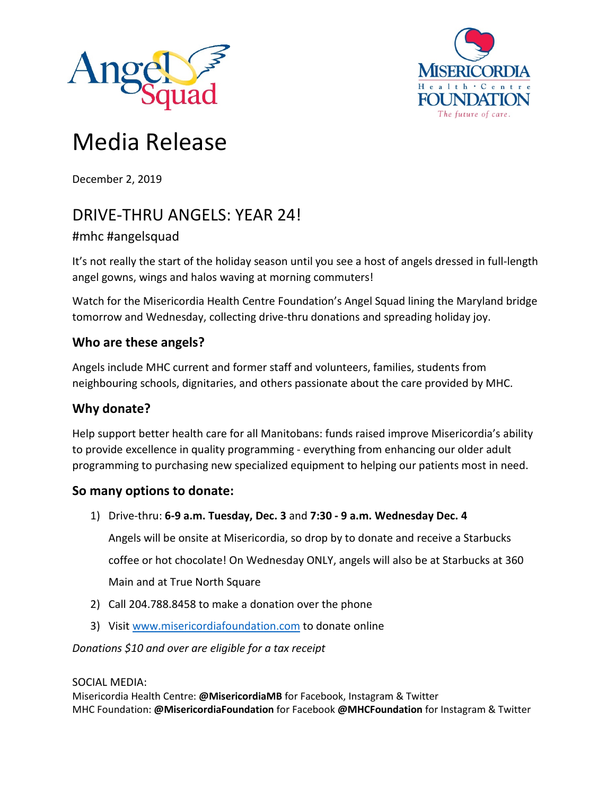



# Media Release

December 2, 2019

# DRIVE-THRU ANGELS: YEAR 24!

## #mhc #angelsquad

It's not really the start of the holiday season until you see a host of angels dressed in full-length angel gowns, wings and halos waving at morning commuters!

Watch for the Misericordia Health Centre Foundation's Angel Squad lining the Maryland bridge tomorrow and Wednesday, collecting drive-thru donations and spreading holiday joy.

#### **Who are these angels?**

Angels include MHC current and former staff and volunteers, families, students from neighbouring schools, dignitaries, and others passionate about the care provided by MHC.

### **Why donate?**

Help support better health care for all Manitobans: funds raised improve Misericordia's ability to provide excellence in quality programming - everything from enhancing our older adult programming to purchasing new specialized equipment to helping our patients most in need.

### **So many options to donate:**

- 1) Drive-thru: **6-9 a.m. Tuesday, Dec. 3** and **7:30 - 9 a.m. Wednesday Dec. 4** Angels will be onsite at Misericordia, so drop by to donate and receive a Starbucks coffee or hot chocolate! On Wednesday ONLY, angels will also be at Starbucks at 360 Main and at True North Square
- 2) Call 204.788.8458 to make a donation over the phone
- 3) Visi[t www.misericordiafoundation.com](http://www.misericordiafoundation.com/) to donate online

*Donations \$10 and over are eligible for a tax receipt*

#### SOCIAL MEDIA:

Misericordia Health Centre: **@MisericordiaMB** for Facebook, Instagram & Twitter MHC Foundation: **@MisericordiaFoundation** for Facebook **@MHCFoundation** for Instagram & Twitter